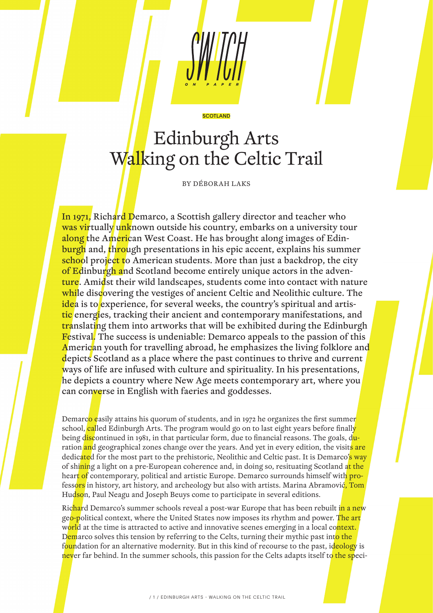

# Edinburgh Arts Walking on the Celtic Trail

**SCOTLAND** 

BY DÉBORAH LAKS

In 1971, Richard Demarco, a Scottish gallery director and teacher who was virtually unknown outside his country, embarks on a university tour along the American West Coast. He has brought along images of Edinburgh and, through presentations in his epic accent, explains his summer school project to American students. More than just a backdrop, the city of Edinburgh and Scotland become entirely unique actors in the adventure. Amidst their wild landscapes, students come into contact with nature while discovering the vestiges of ancient Celtic and Neolithic culture. The idea is to experience, for several weeks, the country's spiritual and artistic energies, tracking their ancient and contemporary manifestations, and translating them into artworks that will be exhibited during the Edinburgh Festival. The success is undeniable: Demarco appeals to the passion of this American youth for travelling abroad, he emphasizes the living folklore and depicts Scotland as a place where the past continues to thrive and current ways of life are infused with culture and spirituality. In his presentations, he depicts a country where New Age meets contemporary art, where you can converse in English with faeries and goddesses.

Demarco easily attains his quorum of students, and in 1972 he organizes the first summer school, called Edinburgh Arts. The program would go on to last eight years before finally being discontinued in 1981, in that particular form, due to financial reasons. The goals, duration and geographical zones change over the years. And yet in every edition, the visits are dedicated for the most part to the prehistoric, Neolithic and Celtic past. It is Demarco's way of shining a light on a pre-European coherence and, in doing so, resituating Scotland at the heart of contemporary, political and artistic Europe. Demarco surrounds himself with **pro**fessors in history, art history, and archeology but also with artists. Marina Abramović, Tom Hudson, Paul Neagu and Joseph Beuys come to participate in several editions.

Richard Demarco's summer schools reveal a post-war Europe that has been rebuilt in a new geo-political context, where the United States now imposes its rhythm and power. The art world at the time is attracted to active and innovative scenes emerging in a local context. Demarco solves this tension by referring to the Celts, turning their mythic past into the foundation for an alternative modernity. But in this kind of recourse to the past, ideology is never far behind. In the summer schools, this passion for the Celts adapts itself to the speci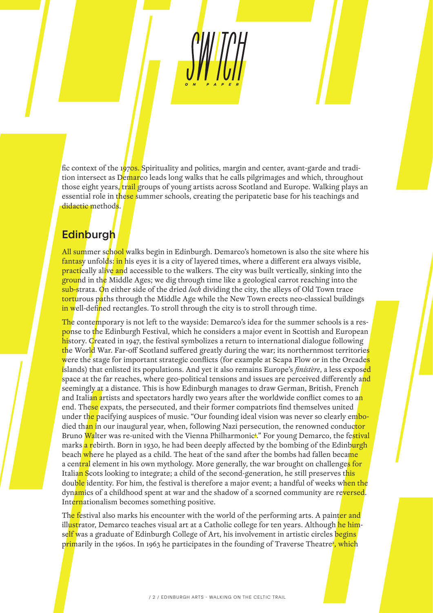fic context of the 1970s. Spirituality and politics, margin and center, avant-garde and tradition intersect as Demarco leads long walks that he calls pilgrimages and which, throughout those eight years, trail groups of young artists across Scotland and Europe. Walking plays an essential role in these summer schools, creating the peripatetic base for his teachings and didactic methods.

## **Edinburgh**

All summer school walks begin in Edinburgh. Demarco's hometown is also the site where his fantasy unfolds; in his eyes it is a city of layered times, where a different era always visible, **practically alive and accessible to the walkers.** The city was built vertically, sinking into the ground in the Middle Ages; we dig through time like a geological carrot reaching into the sub-strata. On either side of the dried *loch* dividing the city, the alleys of Old Town trace torturous paths through the Middle Age while the New Town erects neo-classical buildings in well-defined rectangles. To stroll through the city is to stroll through time.

The contemporary is not left to the wayside: Demarco's idea for the summer schools is a response to the Edinburgh Festival, which he considers a major event in Scottish and European history. Created in 1947, the festival symbolizes a return to international dialogue following the World War. Far-off Scotland suffered greatly during the war; its northernmost territories were the stage for important strategic conflicts (for example at Scapa Flow or in the Orcades islands) that enlisted its populations. And yet it also remains Europe's *finistère*, a less exposed space at the far reaches, where geo-political tensions and issues are perceived differently and seemingly at a distance. This is how Edinburgh manages to draw German, British, French and Italian artists and spectators hardly two years after the worldwide conflict comes to an end. These expats, the persecuted, and their former compatriots find themselves united under the pacifying auspices of music. "Our founding ideal vision was never so clearly embodied than in our inaugural year, when, following Nazi persecution, the renowned conductor Bruno <mark>Wa</mark>lter was re-united with the Vienna Philharmonicl." For young Demarco, the fe<mark>stival</mark> marks a rebirth. Born in 1930, he had been deeply affected by the bombing of the Edinburgh beach where he played as a child. The heat of the sand after the bombs had fallen became a central element in his own mythology. More generally, the war brought on challenge<mark>s for</mark> Italian Scots looking to integrate; a child of the second-generation, he still preserves this double identity. For him, the festival is therefore a major event; a handful of weeks when the dynamics of a childhood spent at war and the shadow of a scorned community are reversed. Internationalism becomes something positive.

The festival also marks his encounter with the world of the performing arts. A painter and ill<mark>ust</mark>rator, Demarco teaches visual art at a Catholic college for ten years. Although <mark>he him</mark>self was a graduate of Edinburgh College of Art, his involvement in artistic circles begins p<mark>rim</mark>arily in the 1960s. In 1963 he participates in the founding of Traverse Theatre<del>'</del>, which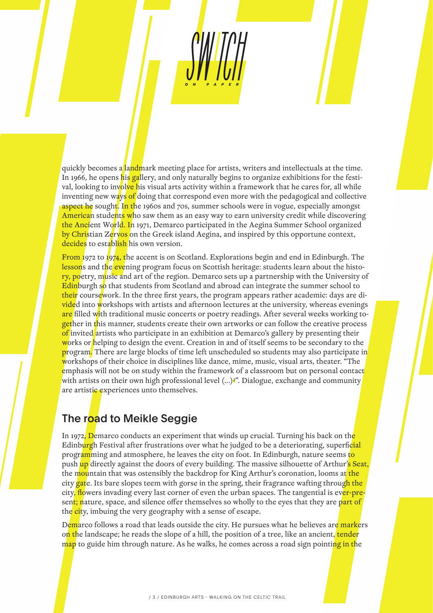quickly becomes a landmark meeting place for artists, writers and intellectuals at the time. In 1966, he opens his gallery, and only naturally begins to organize exhibitions for the festival, looking to inv<mark>olve h</mark>is visual arts activity within a framework that he cares for, all while inventing new ways of doing that correspond even more with the pedagogical and collective **aspect he sought. In the 1960s and 70s, summer schools were in vogue, especially amongst** American students who saw them as an easy way to earn university credit while discovering the Ancient World. In 1971, Demarco participated in the Aegina Summer School organized by Christian Zervos on the Greek island Aegina, and inspired by this opportune context, decides to establish his own version.

From 1972 to 1974, the accent is on Scotland. Explorations begin and end in Edinburgh. The lessons and the evening program focus on Scottish heritage: students learn about the history, poetry, music and art of the region. Demarco sets up a partnership with the University of Edinburgh so that students from Scotland and abroad can integrate the summer school to their coursework. In the three first years, the program appears rather academic: days are divided into workshops with artists and afternoon lectures at the university, whereas evenings are filled with traditional music concerts or poetry readings. After several weeks working together in this manner, students create their own artworks or can follow the creative process of invited artists who participate in an exhibition at Demarco's gallery by presenting their works or helping to design the event. Creation in and of itself seems to be secondary to the program. There are large blocks of time left unscheduled so students may also participate in workshops of their choice in disciplines like dance, mime, music, visual arts, theater. "The emphasis will not be on study within the framework of a classroom but on personal contact with artists on their own high professional level  $(...)$ <sup>2</sup>. Dialogue, exchange and community are artistic experiences unto themselves.

## The road to Meikle Seggie

In 1972, Demarco conducts an experiment that winds up crucial. Turning his back on the Edinburgh Festival after frustrations over what he judged to be a deteriorating, superficial programming and atmosphere, he leaves the city on foot. In Edinburgh, nature seems to push up directly against the doors of every building. The massive silhouette of Arthur's Seat, the mountain that was ostensibly the backdrop for King Arthur's coronation, looms at the city gate. Its bare slopes teem with gorse in the spring, their fragrance wafting through the city, flowers invading every last corner of even the urban spaces. The tangential is ever-present; nature, space, and silence offer themselves so wholly to the eyes that they are part of the city, imbuing the very geography with a sense of escape.

Demarco follows a road that leads outside the city. He pursues what he believes are markers on the landscape; he reads the slope of a hill, the position of a tree, like an ancient, tender map to guide him through nature. As he walks, he comes across a road sign pointing in the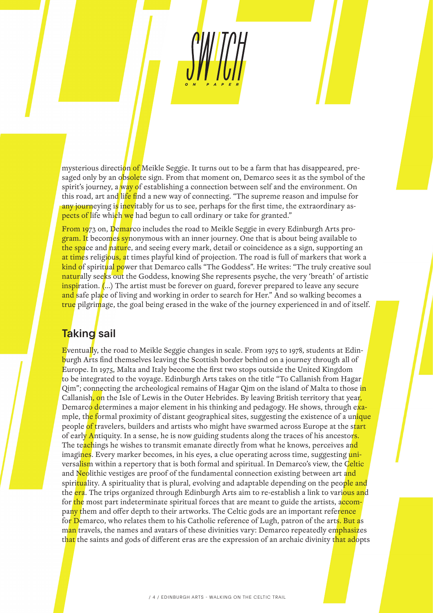mysterious direction of Meikle Seggie. It turns out to be a farm that has disappeared, presaged only by an obsolete sign. From that moment on, Demarco sees it as the symbol of the spirit's journey, a way of establishing a connection between self and the environment. On this road, art and life find a new way of connecting. "The supreme reason and impulse for any journeying is inevitably for us to see, perhaps for the first time, the extraordinary aspects of life which we had begun to call ordinary or take for granted."

From 1973 on, Demarco includes the road to Meikle Seggie in every Edinburgh Arts program. It becomes synonymous with an inner journey. One that is about being available to the space and nature, and seeing every mark, detail or coincidence as a sign, supporting an at times religious, at times playful kind of projection. The road is full of markers that work a kind of spiritual power that Demarco calls "The Goddess". He writes: "The truly creative soul naturally seeks out the Goddess, knowing She represents psyche, the very 'breath' of artistic inspiration. (...) The artist must be forever on guard, forever prepared to leave any secure and safe place of living and working in order to search for Her." And so walking becomes a true pilgrimage, the goal being erased in the wake of the journey experienced in and of itself.

# **Taking** sail

Eventually, the road to Meikle Seggie changes in scale. From 1975 to 1978, students at Edinburgh Arts find themselves leaving the Scottish border behind on a journey through all of Europe. In 1975, Malta and Italy become the first two stops outside the United Kingdom to be integrated to the voyage. Edinburgh Arts takes on the title "To Callanish from Hagar Qim"; connecting the archeological remains of Hagar Qim on the island of Malta to those in Callanish, on the Isle of Lewis in the Outer Hebrides. By leaving British territory that year, Demarco determines a major element in his thinking and pedagogy. He shows, through example, the formal proximity of distant geographical sites, suggesting the existence of a unique people of travelers, builders and artists who might have swarmed across Europe at the start of early Antiquity. In a sense, he is now guiding students along the traces of his ancestors. The teachings he wishes to transmit emanate directly from what he knows, perceives and imagines. Every marker becomes, in his eyes, a clue operating across time, suggesting universalism within a repertory that is both formal and spiritual. In Demarco's view, the Celtic and Neolithic vestiges are proof of the fundamental connection existing between art and spiri<mark>tua</mark>lity. A spirituality that is plural, evolving and adaptable depending on the people and the era. The trips organized through Edinburgh Arts aim to re-establish a link to various and for the most part indeterminate spiritual forces that are meant to guide the artists, accompany them and offer depth to their artworks. The Celtic gods are an important reference for Demarco, who relates them to his Catholic reference of Lugh, patron of the arts. But as man travels, the names and avatars of these divinities vary: Demarco repeatedly emphasizes that the saints and gods of different eras are the expression of an archaic divinity t<mark>hat ad</mark>opts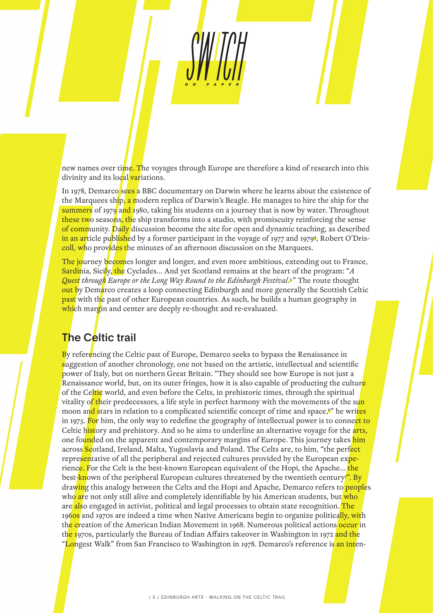new names over time. The voyages through Europe are therefore a kind of research into this divinity and its local variations.

In 1978, Demarco sees a BBC documentary on Darwin where he learns about the existence of the Marquees ship, a modern replica of Darwin's Beagle. He manages to hire the ship for the summers of 1979 and 1980, taking his students on a journey that is now by water. Throughout these two seasons, the ship transforms into a studio, with promiscuity reinforcing the sense of community. Daily discussion become the site for open and dynamic teaching, as described <mark>in an ar</mark>ticle pu<mark>blish</mark>ed by a former participant in the voyage of 1977 and 1979<del>1</del>, Robert O'Driscoll, who provides the minutes of an afternoon discussion on the Marquees.

The journey becomes longer and longer, and even more ambitious, extending out to France, Sardinia, Sicily, the Cyclades… And yet Scotland remains at the heart of the program: "*A Quest through Europe or the Long Way Round to the Edinburgh Festival*. <sup>5</sup> " The route thought out by Demarco creates a loop connecting Edinburgh and more generally the Scottish Celtic past with the past of other European countries. As such, he builds a human geography in which margin and center are deeply re-thought and re-evaluated.

#### **The Celtic trail**

By referencing the Celtic past of Europe, Demarco seeks to bypass the Renaissance in suggestion of another chronology, one not based on the artistic, intellectual and scientific power of Italy, but on northern Great Britain. "They should see how Europe is not just a Renaissance world, but, on its outer fringes, how it is also capable of producting the culture of the Celtic world, and even before the Celts, in prehistoric times, through the spiritual vitality of their predecessors, a life style in perfect harmony with the movements of the sun moon and stars in relation to a complicated scientific concept of time and space, <sup>o</sup> he writes in 1975. For him, the only way to redefine the geography of intellectual power is to connect to Celtic history and prehistory. And so he aims to underline an alternative voyage for the arts, one founded on the apparent and contemporary margins of Europe. This journey takes him across Scotland, Ireland, Malta, Yugoslavia and Poland. The Celts are, to him, "the perfect representative of all the peripheral and rejected cultures provided by the European experience. For the Celt is the best-known European equivalent of the Hopi, the Apache... the best-<mark>kn</mark>own of the peripheral European cultures threatened by the twentieth century?". By drawing this analogy between the Celts and the Hopi and Apache, Demarco refers to peoples who are not only still alive and completely identifiable by his American students, but who are also engaged in activist, political and legal processes to obtain state recognition. The 1960s and 1970s are indeed a time when Native Americans begin to organize politically, with the creation of the American Indian Movement in 1968. Numerous political actions occur in th<mark>e 1</mark>970s, particularly the Bureau of Indian Affairs takeover in Washington in 1972 <mark>and th</mark>e "<mark>Lo</mark>ngest Walk" from San Francisco to Washington in 1978. Demarco's reference is <mark>an int</mark>en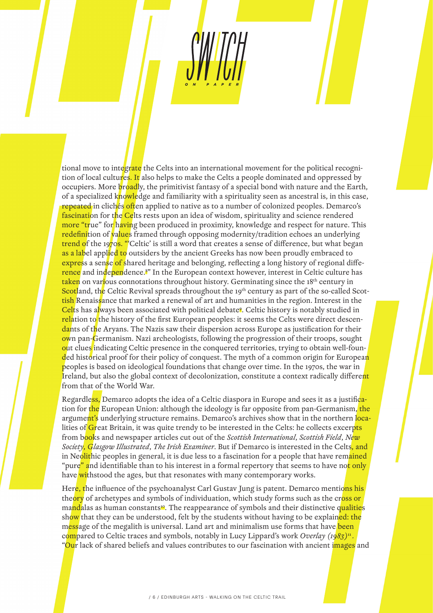tional move to integrate the Celts into an international movement for the political recognition of local cultures. It also helps to make the Celts a people dominated and oppressed by occupiers. More broadly, the primitivist fantasy of a special bond with nature and the Earth, of a specialized knowledge and familiarity with a spirituality seen as ancestral is, in this case, repeated in clichés often applied to native as to a number of colonized peoples. Demarco's fascination for the Celts rests upon an idea of wisdom, spirituality and science rendered more "true" for having been produced in proximity, knowledge and respect for nature. This redefinition of values framed through opposing modernity/tradition echoes an underlying trend of the 1970s. "'Celtic' is still a word that creates a sense of difference, but what began as a label applied to outsiders by the ancient Greeks has now been proudly embraced to express a sense of shared heritage and belonging, reflecting a long history of regional diffe-<mark>rence</mark> and in<mark>depen</mark>dence.<sup>8</sup>" In the European context however, interest in Celtic culture has taken on various connotations throughout history. Germinating since the 18<sup>th</sup> century in Scotland, the Celtic Revival spreads throughout the 19<sup>th</sup> century as part of the so-called Scottish Renaissance that marked a renewal of art and humanities in the region. Interest in the Celts has always been associated with political debate<sup>8</sup>. Celtic history is notably studied in relation to the history of the first European peoples: it seems the Celts were direct descendants of the Aryans. The Nazis saw their dispersion across Europe as justification for their own pan-Germanism. Nazi archeologists, following the progression of their troops, sought out clues indicating Celtic presence in the conquered territories, trying to obtain well-founded historical proof for their policy of conquest. The myth of a common origin for European peoples is based on ideological foundations that change over time. In the 1970s, the war in Ireland, but also the global context of decolonization, constitute a context radically different from that of the World War.

Regardless, Demarco adopts the idea of a Celtic diaspora in Europe and sees it as a justification for the European Union: although the ideology is far opposite from pan-Germanism, the argument's underlying structure remains. Demarco's archives show that in the northern localities of Great Britain, it was quite trendy to be interested in the Celts: he collects excerpts from books and newspaper articles cut out of the *Scottish International*, *Scottish Field*, *New Society*, *Glasgow Illustrated*, *The Irish Examiner*. But if Demarco is interested in the Celts, and in Neolithic peoples in general, it is due less to a fascination for a people that have remained "pure" and identifiable than to his interest in a formal repertory that seems to have not only have withstood the ages, but that resonates with many contemporary works.

Her<mark>e, t</mark>he influence of the psychoanalyst Carl Gustav Jung is patent. Demarco mentions his theory of archetypes and symbols of individuation, which study forms such as the cross or mandalas as human constants<sup>10</sup>. The reappearance of symbols and their distinctive qualities show that they can be understood, felt by the students without having to be explained: the message of the megalith is universal. Land art and minimalism use forms that have been compared to Celtic traces and symbols, notably in Lucy Lippard's work *Overlay* (1983)<sup>11</sup>. "Our lack of shared beliefs and values contributes to our fascination with ancient images and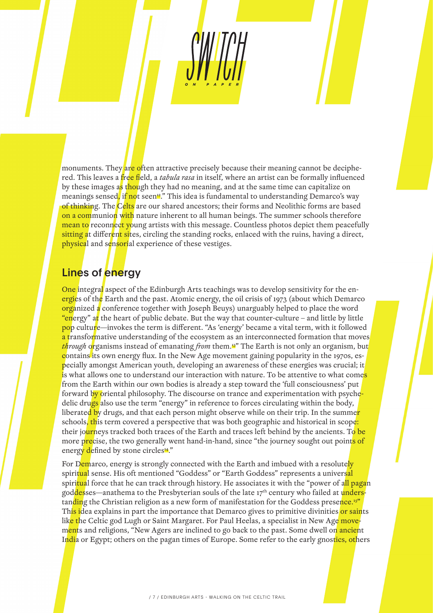monuments. They are often attractive precisely because their meaning cannot be deciphered. This leaves a free field, a *tabula rasa* in itself, where an artist can be formally influenced by these images as though they had no meaning, and at the same time can capitalize on meanings sensed, if not seen<sup>12</sup>." This idea is fundamental to understanding Demarco's way of thinking. The Celts are our shared ancestors; their forms and Neolithic forms are based on a communion with nature inherent to all human beings. The summer schools therefore mean to reconnect young artists with this message. Countless photos depict them peacefully sitting at different sites, circling the standing rocks, enlaced with the ruins, having a direct, physical and sensorial experience of these vestiges.

### Lines of energy

One integral aspect of the Edinburgh Arts teachings was to develop sensitivity for the energies of the Earth and the past. Atomic energy, the oil crisis of 1973 (about which Demarco organized a conference together with Joseph Beuys) unarguably helped to place the word "energy" at the heart of public debate. But the way that counter-culture – and little by little pop culture—invokes the term is different. "As 'energy' became a vital term, with it followed a transformative understanding of the ecosystem as an interconnected formation that moves *through* organisms instead of emanating *from* them.<sup>13</sup>" The Earth is not only an organism, but contains its own energy flux. In the New Age movement gaining popularity in the 1970s, especially amongst American youth, developing an awareness of these energies was crucial; it is what allows one to understand our interaction with nature. To be attentive to what comes from the Earth within our own bodies is already a step toward the 'full consciousness' put forward by oriental philosophy. The discourse on trance and experimentation with psychedelic drugs also use the term "energy" in reference to forces circulating within the body, liberated by drugs, and that each person might observe while on their trip. In the summer schools, this term covered a perspective that was both geographic and historical in scope: their journeys tracked both traces of the Earth and traces left behind by the ancients. To be more precise, the two generally went hand-in-hand, since "the journey sought out points of energy defined by stone circles<sup>14</sup>."

For Demarco, energy is strongly connected with the Earth and imbued with a resolutely spiritual sense. His oft mentioned "Goddess" or "Earth Goddess" represents a universal spiri<mark>tua</mark>l force that he can track through history. He associates it with the "power of a<mark>ll paga</mark>n goddesses—anathema to the Presbyterian souls of the late 17<sup>th</sup> century who failed at understanding the Christian religion as a new form of manifestation for the Goddess presence.<sup>15"</sup> This idea explains in part the importance that Demarco gives to primitive divinities or saints lik<mark>e t</mark>he Celtic god Lugh or Saint Margaret. For Paul Heelas, a specialist in New Age movements and religions, "New Agers are inclined to go back to the past. Some dwell on ancient India or Egypt; others on the pagan times of Europe. Some refer to the early gnostics, others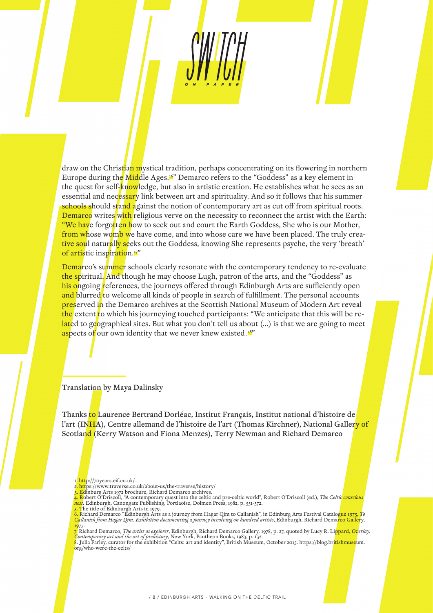draw on the Christian mystical tradition, perhaps concentrating on its flowering in northern Europe during the Middle Ages.<sup>16"</sup> Demarco refers to the "Goddess" as a key element in the quest for self-knowledge, but also in artistic creation. He establishes what he sees as an essential and necessary link between art and spirituality. And so it follows that his summer schools should stand against the notion of contemporary art as cut off from spiritual roots. Demarco writes with religious verve on the necessity to reconnect the artist with the Earth: "We have forgotten how to seek out and court the Earth Goddess, She who is our Mother, from whose womb we have come, and into whose care we have been placed. The truly creative soul naturally seeks out the Goddess, knowing She represents psyche, the very 'breath' of artistic inspiration.<sup>17</sup>"

Demarco's summer schools clearly resonate with the contemporary tendency to re-evaluate the spiritual. And though he may choose Lugh, patron of the arts, and the "Goddess" as his ongoing references, the journeys offered through Edinburgh Arts are sufficiently open and blurred to welcome all kinds of people in search of fulfillment. The personal accounts **preserved in** the Demarco archives at the Scottish National Museum of Modern Art reveal the extent to which his journeying touched participants: "We anticipate that this will be related to geographical sites. But what you don't tell us about (...) is that we are going to meet aspects of our own identity that we never knew existed .18"

Translation by Maya Dalinsky

Thanks to Laurence Bertrand Dorléac, Institut Français, Institut national d'histoire de l'art (INHA), Centre allemand de l'histoire de l'art (Thomas Kirchner), National Gallery of Scotland (Kerry Watson and Fiona Menzes), Terry Newman and Richard Demarco

- 1. http://70years.eif.co.uk/
- 2. https://www.traverse.co.uk/about-us/the-traverse/history/
- Edinburg Arts 1972 brochure, Richard Demarco archives

4. Robert O'Driscoll, "A contemporary quest into the celtic and pre-celtic world", Robert O'Driscoll (ed.), *The Celtic conscious*<br>ness, Edinburgh, Canongate Publishing, Portlaoise, Dolmen Press, 1982, p. 551-572.<br>5. The t

6. Richard Demarco "Edinburgh Arts as a journey from Hagar Qim to Callanish", in Edinburg Arts Festival Catalogue 1975, *To Callanish from Hagar Qim. Exhibition documenting a journey involving on hundred artists*, Edinburgh, Richard Demarco Gallery, 1975. 7. Richard Demarco, *The artist as explorer*, Edinburgh, Richard Demarco Gallery, 1978, p. 27, quoted by Lucy R. Lippard, *Overlay.* 

*Contemporary art and the art of prehistory*, New York, Pantheon Books, 1983, p. 132. 8. Julia Farley, curator for the exhibition "Celts: art and identity", British Museum, October 2015. https://blog.britishmuseum.

org/who-were-the-celts/